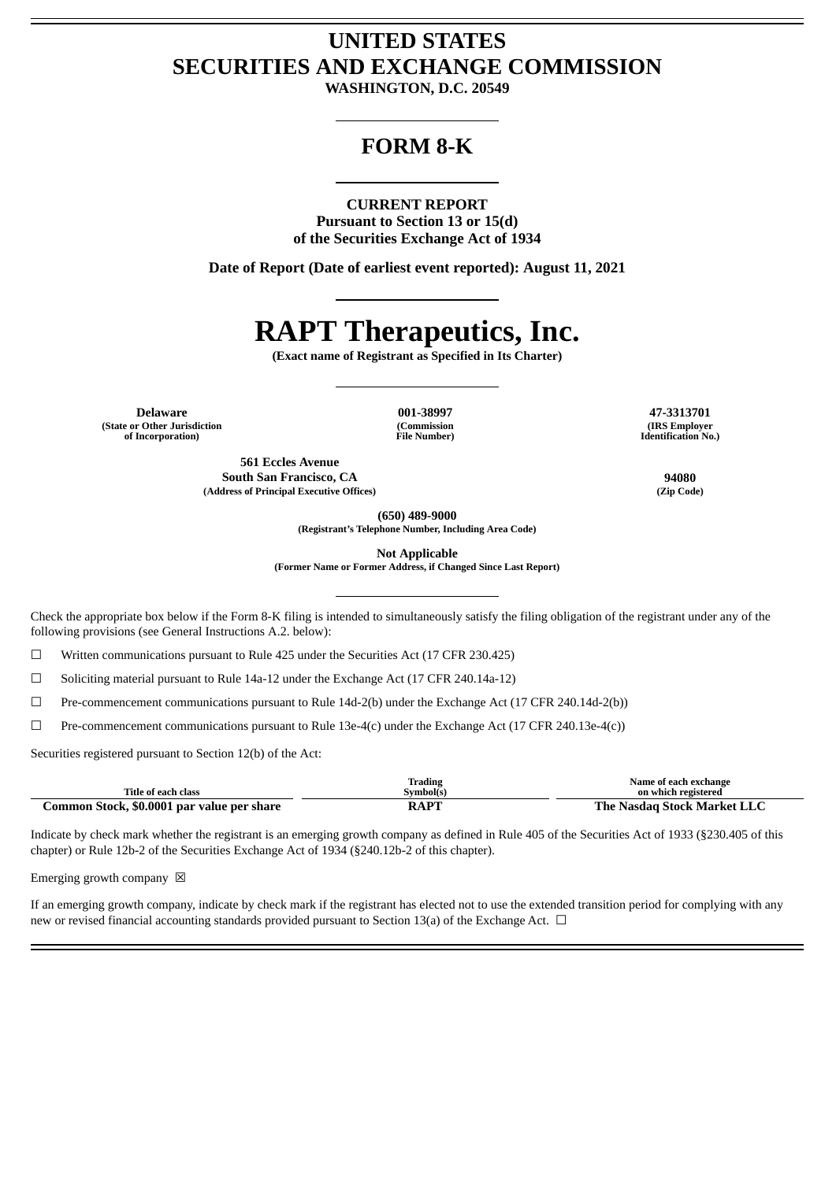# **UNITED STATES SECURITIES AND EXCHANGE COMMISSION**

**WASHINGTON, D.C. 20549**

# **FORM 8-K**

#### **CURRENT REPORT**

**Pursuant to Section 13 or 15(d) of the Securities Exchange Act of 1934**

**Date of Report (Date of earliest event reported): August 11, 2021**

# **RAPT Therapeutics, Inc.**

**(Exact name of Registrant as Specified in Its Charter)**

**Delaware 001-38997 47-3313701 (State or Other Jurisdiction of Incorporation)**

**(Commission File Number)**

**(IRS Employer Identification No.)**

**561 Eccles Avenue South San Francisco, CA 94080 (Address of Principal Executive Offices) (Zip Code)**

**(650) 489-9000**

**(Registrant's Telephone Number, Including Area Code)**

**Not Applicable**

**(Former Name or Former Address, if Changed Since Last Report)**

Check the appropriate box below if the Form 8-K filing is intended to simultaneously satisfy the filing obligation of the registrant under any of the following provisions (see General Instructions A.2. below):

☐ Written communications pursuant to Rule 425 under the Securities Act (17 CFR 230.425)

☐ Soliciting material pursuant to Rule 14a-12 under the Exchange Act (17 CFR 240.14a-12)

☐ Pre-commencement communications pursuant to Rule 14d-2(b) under the Exchange Act (17 CFR 240.14d-2(b))

☐ Pre-commencement communications pursuant to Rule 13e-4(c) under the Exchange Act (17 CFR 240.13e-4(c))

Securities registered pursuant to Section 12(b) of the Act:

|                                            | Trading  | Name of each exchange       |
|--------------------------------------------|----------|-----------------------------|
| Title of each class                        | Svmbolís | on which registered         |
| Common Stock, \$0.0001 par value per share | RAPT     | The Nasdag Stock Market LLC |

Indicate by check mark whether the registrant is an emerging growth company as defined in Rule 405 of the Securities Act of 1933 (§230.405 of this chapter) or Rule 12b-2 of the Securities Exchange Act of 1934 (§240.12b-2 of this chapter).

Emerging growth company  $\boxtimes$ 

If an emerging growth company, indicate by check mark if the registrant has elected not to use the extended transition period for complying with any new or revised financial accounting standards provided pursuant to Section 13(a) of the Exchange Act.  $\Box$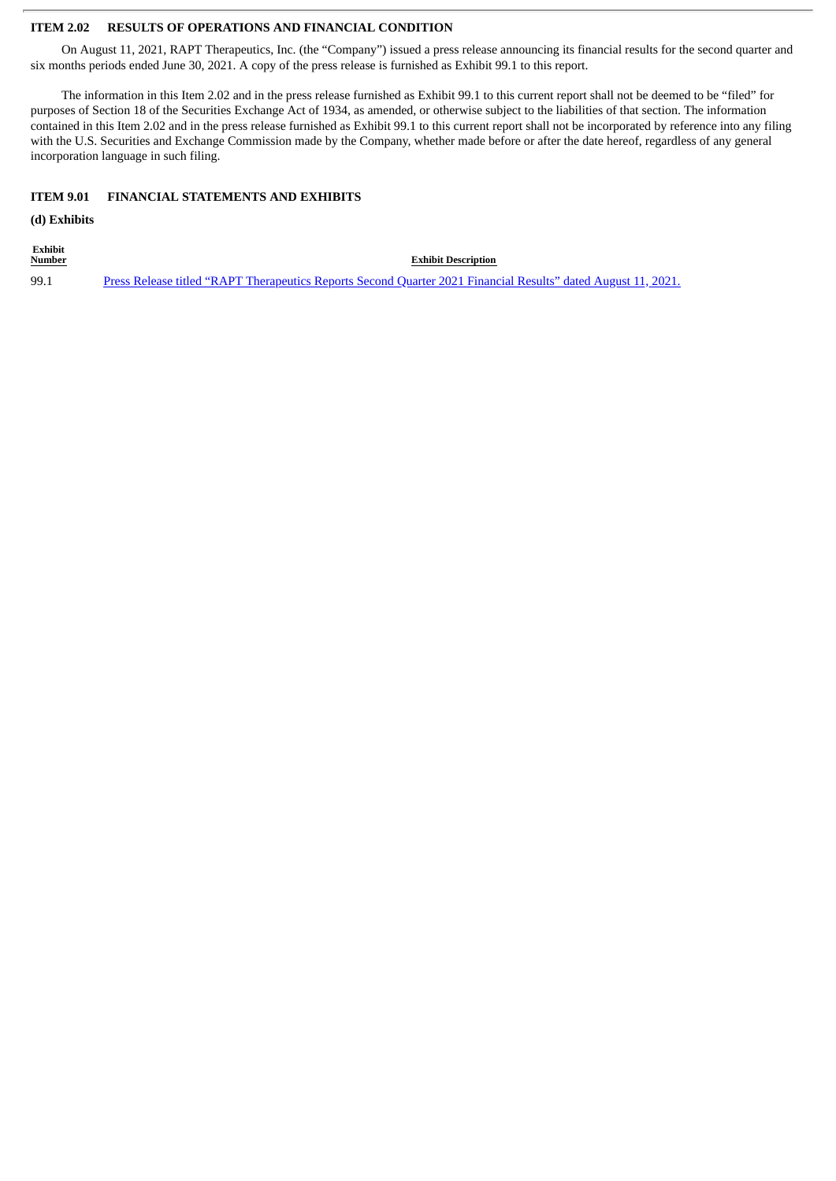#### **ITEM 2.02 RESULTS OF OPERATIONS AND FINANCIAL CONDITION**

On August 11, 2021, RAPT Therapeutics, Inc. (the "Company") issued a press release announcing its financial results for the second quarter and six months periods ended June 30, 2021. A copy of the press release is furnished as Exhibit 99.1 to this report.

The information in this Item 2.02 and in the press release furnished as Exhibit 99.1 to this current report shall not be deemed to be "filed" for purposes of Section 18 of the Securities Exchange Act of 1934, as amended, or otherwise subject to the liabilities of that section. The information contained in this Item 2.02 and in the press release furnished as Exhibit 99.1 to this current report shall not be incorporated by reference into any filing with the U.S. Securities and Exchange Commission made by the Company, whether made before or after the date hereof, regardless of any general incorporation language in such filing.

#### **ITEM 9.01 FINANCIAL STATEMENTS AND EXHIBITS**

**(d) Exhibits**

**Exhibit**

**Exhibit Description** 99.1 Press Release titled "RAPT [Therapeutics](#page-3-0) Reports Second Quarter 2021 Financial Results" dated August 11, 2021.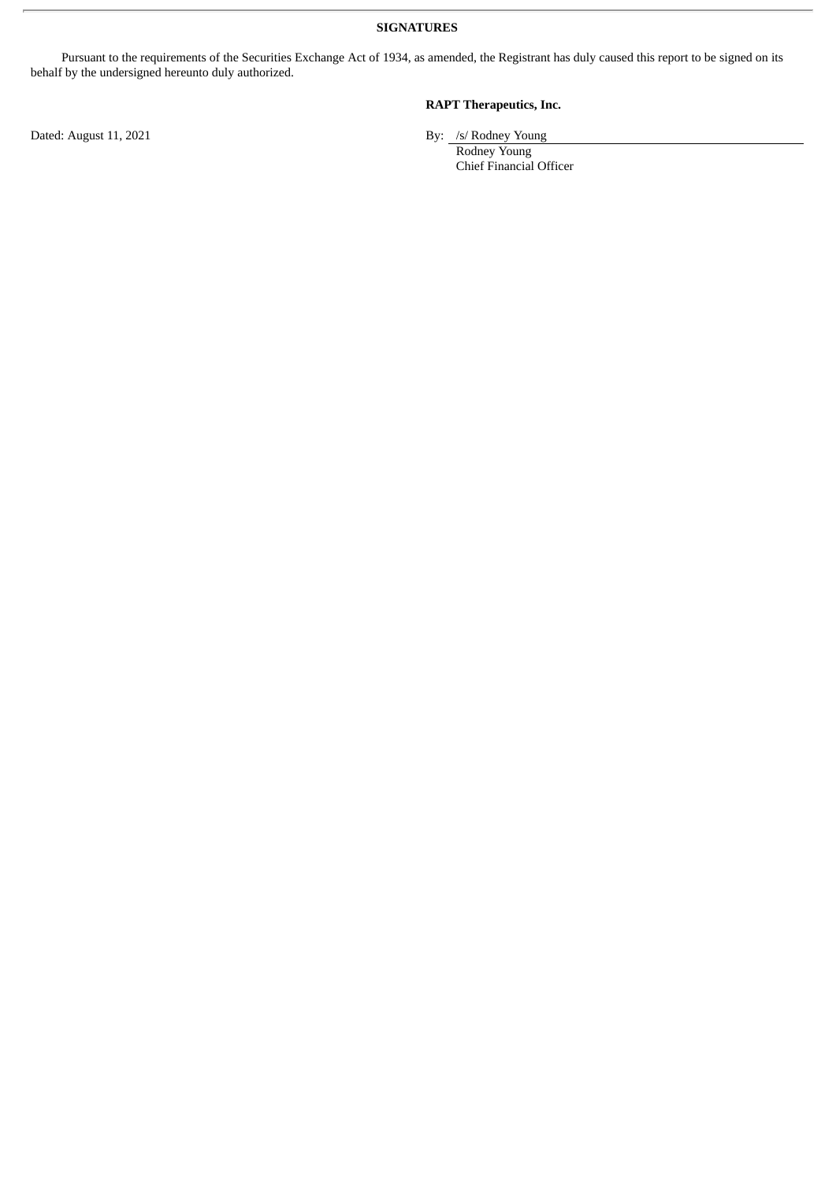**SIGNATURES**

Pursuant to the requirements of the Securities Exchange Act of 1934, as amended, the Registrant has duly caused this report to be signed on its behalf by the undersigned hereunto duly authorized.

**RAPT Therapeutics, Inc.**

Rodney Young Chief Financial Officer

Dated: August 11, 2021 By: /s/ Rodney Young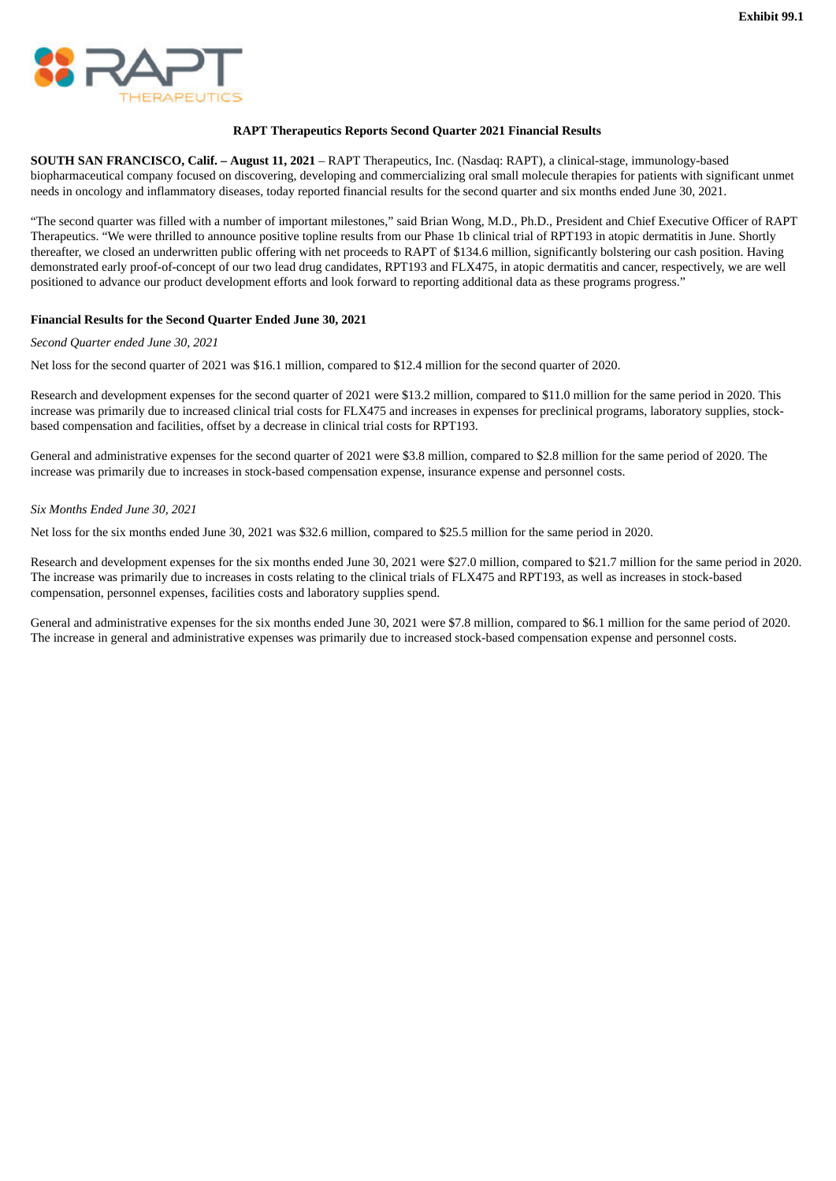<span id="page-3-0"></span>

#### **RAPT Therapeutics Reports Second Quarter 2021 Financial Results**

**SOUTH SAN FRANCISCO, Calif. – August 11, 2021** – RAPT Therapeutics, Inc. (Nasdaq: RAPT), a clinical-stage, immunology-based biopharmaceutical company focused on discovering, developing and commercializing oral small molecule therapies for patients with significant unmet needs in oncology and inflammatory diseases, today reported financial results for the second quarter and six months ended June 30, 2021.

"The second quarter was filled with a number of important milestones," said Brian Wong, M.D., Ph.D., President and Chief Executive Officer of RAPT Therapeutics. "We were thrilled to announce positive topline results from our Phase 1b clinical trial of RPT193 in atopic dermatitis in June. Shortly thereafter, we closed an underwritten public offering with net proceeds to RAPT of \$134.6 million, significantly bolstering our cash position. Having demonstrated early proof-of-concept of our two lead drug candidates, RPT193 and FLX475, in atopic dermatitis and cancer, respectively, we are well positioned to advance our product development efforts and look forward to reporting additional data as these programs progress."

#### **Financial Results for the Second Quarter Ended June 30, 2021**

*Second Quarter ended June 30, 2021*

Net loss for the second quarter of 2021 was \$16.1 million, compared to \$12.4 million for the second quarter of 2020.

Research and development expenses for the second quarter of 2021 were \$13.2 million, compared to \$11.0 million for the same period in 2020. This increase was primarily due to increased clinical trial costs for FLX475 and increases in expenses for preclinical programs, laboratory supplies, stockbased compensation and facilities, offset by a decrease in clinical trial costs for RPT193.

General and administrative expenses for the second quarter of 2021 were \$3.8 million, compared to \$2.8 million for the same period of 2020. The increase was primarily due to increases in stock-based compensation expense, insurance expense and personnel costs.

#### *Six Months Ended June 30, 2021*

Net loss for the six months ended June 30, 2021 was \$32.6 million, compared to \$25.5 million for the same period in 2020.

Research and development expenses for the six months ended June 30, 2021 were \$27.0 million, compared to \$21.7 million for the same period in 2020. The increase was primarily due to increases in costs relating to the clinical trials of FLX475 and RPT193, as well as increases in stock-based compensation, personnel expenses, facilities costs and laboratory supplies spend.

General and administrative expenses for the six months ended June 30, 2021 were \$7.8 million, compared to \$6.1 million for the same period of 2020. The increase in general and administrative expenses was primarily due to increased stock-based compensation expense and personnel costs.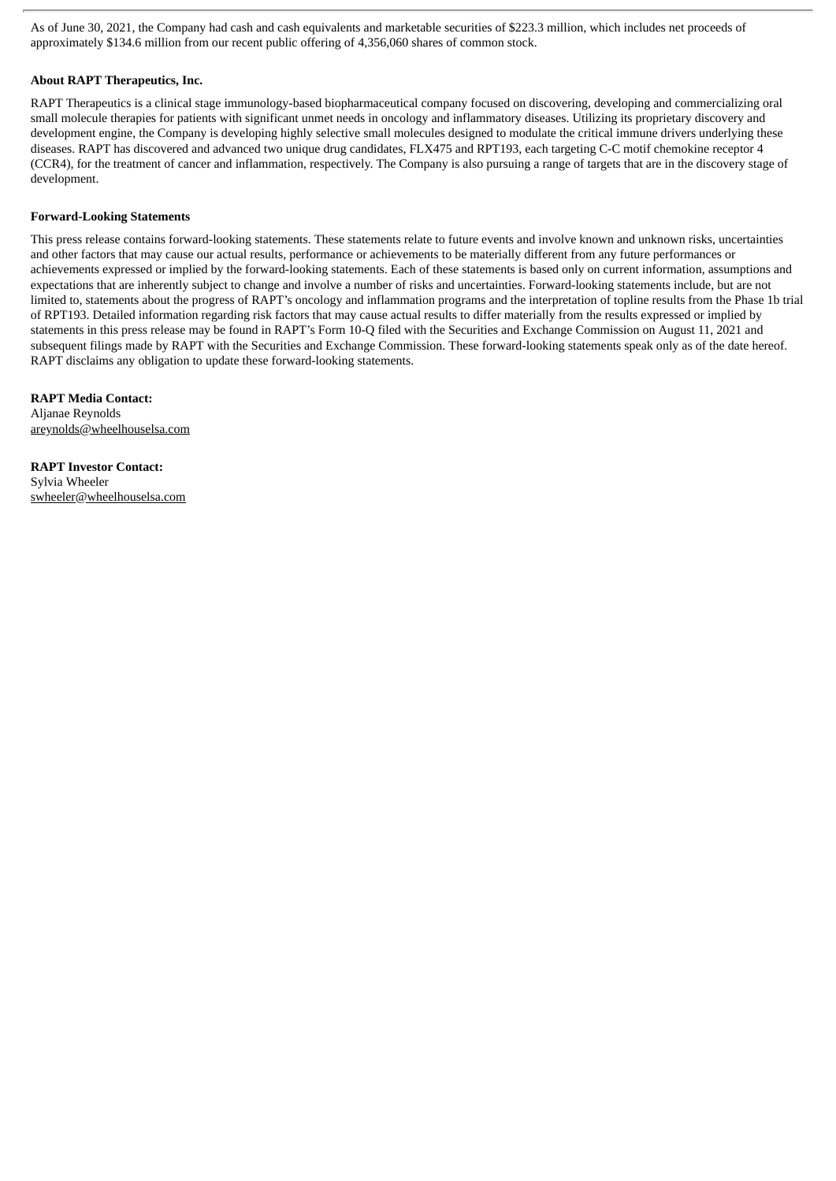As of June 30, 2021, the Company had cash and cash equivalents and marketable securities of \$223.3 million, which includes net proceeds of approximately \$134.6 million from our recent public offering of 4,356,060 shares of common stock.

#### **About RAPT Therapeutics, Inc.**

RAPT Therapeutics is a clinical stage immunology-based biopharmaceutical company focused on discovering, developing and commercializing oral small molecule therapies for patients with significant unmet needs in oncology and inflammatory diseases. Utilizing its proprietary discovery and development engine, the Company is developing highly selective small molecules designed to modulate the critical immune drivers underlying these diseases. RAPT has discovered and advanced two unique drug candidates, FLX475 and RPT193, each targeting C-C motif chemokine receptor 4 (CCR4), for the treatment of cancer and inflammation, respectively. The Company is also pursuing a range of targets that are in the discovery stage of development.

#### **Forward-Looking Statements**

This press release contains forward-looking statements. These statements relate to future events and involve known and unknown risks, uncertainties and other factors that may cause our actual results, performance or achievements to be materially different from any future performances or achievements expressed or implied by the forward-looking statements. Each of these statements is based only on current information, assumptions and expectations that are inherently subject to change and involve a number of risks and uncertainties. Forward-looking statements include, but are not limited to, statements about the progress of RAPT's oncology and inflammation programs and the interpretation of topline results from the Phase 1b trial of RPT193. Detailed information regarding risk factors that may cause actual results to differ materially from the results expressed or implied by statements in this press release may be found in RAPT's Form 10-Q filed with the Securities and Exchange Commission on August 11, 2021 and subsequent filings made by RAPT with the Securities and Exchange Commission. These forward-looking statements speak only as of the date hereof. RAPT disclaims any obligation to update these forward-looking statements.

**RAPT Media Contact:** Aljanae Reynolds areynolds@wheelhouselsa.com

**RAPT Investor Contact:** Sylvia Wheeler swheeler@wheelhouselsa.com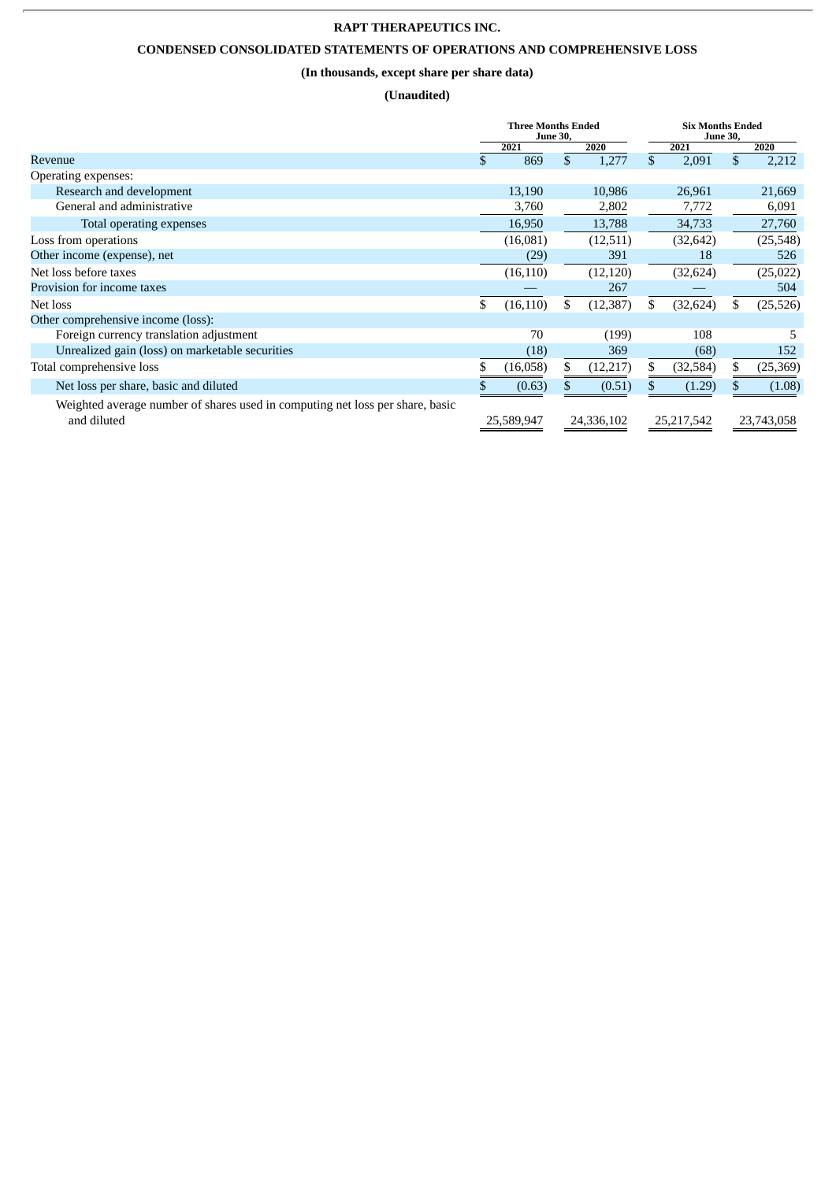## **RAPT THERAPEUTICS INC.**

# **CONDENSED CONSOLIDATED STATEMENTS OF OPERATIONS AND COMPREHENSIVE LOSS**

## **(In thousands, except share per share data)**

## **(Unaudited)**

|                                                                                              | <b>Three Months Ended</b><br><b>June 30,</b> |            |    | <b>Six Months Ended</b><br><b>June 30,</b> |     |            |    |            |
|----------------------------------------------------------------------------------------------|----------------------------------------------|------------|----|--------------------------------------------|-----|------------|----|------------|
|                                                                                              |                                              | 2021       |    | 2020                                       |     | 2021       |    | 2020       |
| Revenue                                                                                      | \$                                           | 869        | \$ | 1,277                                      | \$  | 2,091      | \$ | 2,212      |
| Operating expenses:                                                                          |                                              |            |    |                                            |     |            |    |            |
| Research and development                                                                     |                                              | 13,190     |    | 10,986                                     |     | 26,961     |    | 21,669     |
| General and administrative                                                                   |                                              | 3,760      |    | 2,802                                      |     | 7,772      |    | 6,091      |
| Total operating expenses                                                                     |                                              | 16,950     |    | 13,788                                     |     | 34,733     |    | 27,760     |
| Loss from operations                                                                         |                                              | (16,081)   |    | (12,511)                                   |     | (32, 642)  |    | (25,548)   |
| Other income (expense), net                                                                  |                                              | (29)       |    | 391                                        |     | 18         |    | 526        |
| Net loss before taxes                                                                        |                                              | (16, 110)  |    | (12, 120)                                  |     | (32, 624)  |    | (25,022)   |
| Provision for income taxes                                                                   |                                              |            |    | 267                                        |     |            |    | 504        |
| Net loss                                                                                     | \$                                           | (16, 110)  | \$ | (12, 387)                                  | \$. | (32, 624)  | \$ | (25, 526)  |
| Other comprehensive income (loss):                                                           |                                              |            |    |                                            |     |            |    |            |
| Foreign currency translation adjustment                                                      |                                              | 70         |    | (199)                                      |     | 108        |    | 5          |
| Unrealized gain (loss) on marketable securities                                              |                                              | (18)       |    | 369                                        |     | (68)       |    | 152        |
| Total comprehensive loss                                                                     |                                              | (16,058)   | S. | (12, 217)                                  | \$  | (32, 584)  | \$ | (25, 369)  |
| Net loss per share, basic and diluted                                                        |                                              | (0.63)     |    | (0.51)                                     |     | (1.29)     |    | (1.08)     |
| Weighted average number of shares used in computing net loss per share, basic<br>and diluted |                                              | 25,589,947 |    | 24,336,102                                 |     | 25,217,542 |    | 23,743,058 |